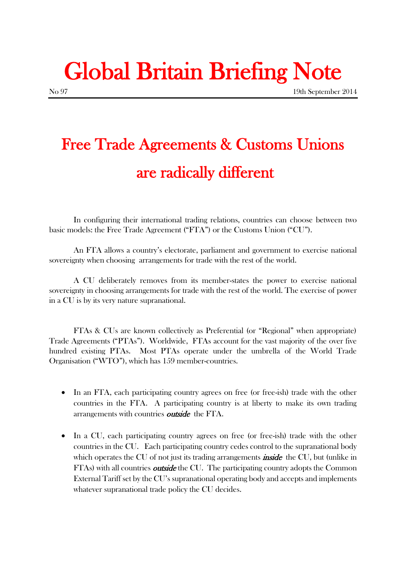# Global Britain Briefing Note

## Free Trade Agreements & Customs Unions are radically different

In configuring their international trading relations, countries can choose between two basic models: the Free Trade Agreement ("FTA") or the Customs Union ("CU").

An FTA allows a country's electorate, parliament and government to exercise national sovereignty when choosing arrangements for trade with the rest of the world.

A CU deliberately removes from its member-states the power to exercise national sovereignty in choosing arrangements for trade with the rest of the world. The exercise of power in a CU is by its very nature supranational.

FTAs & CUs are known collectively as Preferential (or "Regional" when appropriate) Trade Agreements ("PTAs"). Worldwide, FTAs account for the vast majority of the over five hundred existing PTAs. Most PTAs operate under the umbrella of the World Trade Organisation ("WTO"), which has 159 member-countries.

- In an FTA, each participating country agrees on free (or free-ish) trade with the other countries in the FTA. A participating country is at liberty to make its own trading arrangements with countries *outside* the FTA.
- In a CU, each participating country agrees on free (or free-ish) trade with the other countries in the CU. Each participating country cedes control to the supranational body which operates the CU of not just its trading arrangements **inside** the CU, but (unlike in FTAs) with all countries *outside* the CU. The participating country adopts the Common External Tariff set by the CU's supranational operating body and accepts and implements whatever supranational trade policy the CU decides.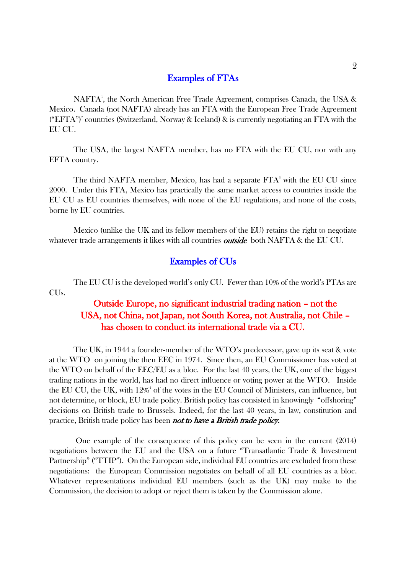#### Examples of FTAs

NAFTA<sup>1</sup>, the North American Free Trade Agreement, comprises Canada, the USA & Mexico. Canada (not NAFTA) already has an FTA with the European Free Trade Agreement ("EFTA")<sup>2</sup> countries (Switzerland, Norway & Iceland) & is currently negotiating an FTA with the EU CU.

The USA, the largest NAFTA member, has no FTA with the EU CU, nor with any EFTA country.

The third NAFTA member, Mexico, has had a separate  $FTA<sup>3</sup>$  with the EU CU since 2000. Under this FTA, Mexico has practically the same market access to countries inside the EU CU as EU countries themselves, with none of the EU regulations, and none of the costs, borne by EU countries.

Mexico (unlike the UK and its fellow members of the EU) retains the right to negotiate whatever trade arrangements it likes with all countries *outside* both NAFTA & the EU CU.

#### Examples of CUs

The EU CU is the developed world's only CU. Fewer than 10% of the world's PTAs are CUs.

#### Outside Europe, no significant industrial trading nation – not the USA, not China, not Japan, not South Korea, not Australia, not Chile – has chosen to conduct its international trade via a CU.

The UK, in 1944 a founder-member of the WTO's predecessor, gave up its seat & vote at the WTO on joining the then EEC in 1974. Since then, an EU Commissioner has voted at the WTO on behalf of the EEC/EU as a bloc. For the last 40 years, the UK, one of the biggest trading nations in the world, has had no direct influence or voting power at the WTO. Inside the EU CU, the UK, with 12%<sup>4</sup> of the votes in the EU Council of Ministers, can influence, but not determine, or block, EU trade policy. British policy has consisted in knowingly "offshoring" decisions on British trade to Brussels. Indeed, for the last 40 years, in law, constitution and practice, British trade policy has been **not to have a British trade policy.** 

One example of the consequence of this policy can be seen in the current (2014) negotiations between the EU and the USA on a future "Transatlantic Trade & Investment Partnership" ("TTIP"). On the European side, individual EU countries are excluded from these negotiations: the European Commission negotiates on behalf of all EU countries as a bloc. Whatever representations individual EU members (such as the UK) may make to the Commission, the decision to adopt or reject them is taken by the Commission alone.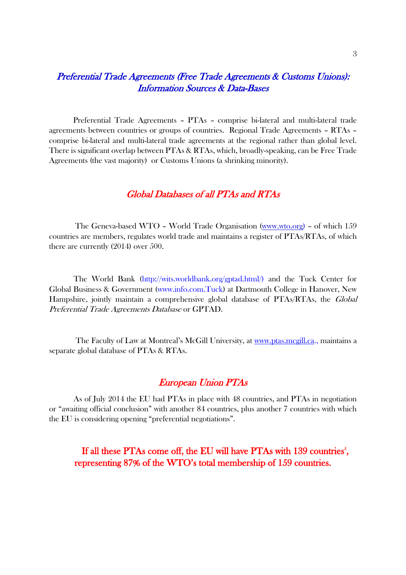#### Preferential Trade Agreements (Free Trade Agreements & Customs Unions): Information Sources & Data-Bases

Preferential Trade Agreements – PTAs – comprise bi-lateral and multi-lateral trade agreements between countries or groups of countries. Regional Trade Agreements – RTAs – comprise bi-lateral and multi-lateral trade agreements at the regional rather than global level. There is significant overlap between PTAs & RTAs, which, broadly-speaking, can be Free Trade Agreements (the vast majority) or Customs Unions (a shrinking minority).

#### Global Databases of all PTAs and RTAs

The Geneva-based WTO – World Trade Organisation [\(www.wto.org\)](http://www.wto.org/) – of which 159 countries are members, regulates world trade and maintains a register of PTAs/RTAs, of which there are currently (2014) over 500.

The World Bank (http://wits.worldbank.org/gptad.html/) and the Tuck Center for Global Business & Government (www.info.com.Tuck) at Dartmouth College in Hanover, New Hampshire, jointly maintain a comprehensive global database of PTAs/RTAs, the *Global* Preferential Trade Agreements Database or GPTAD.

The Faculty of Law at Montreal's McGill University, at [www.ptas.mcgill.ca.](http://www.ptas.mcgill.ca/), maintains a separate global database of PTAs & RTAs.

#### European Union PTAs

As of July 2014 the EU had PTAs in place with 48 countries, and PTAs in negotiation or "awaiting official conclusion" with another 84 countries, plus another 7 countries with which the EU is considering opening "preferential negotiations".

If all these PTAs come off, the EU will have PTAs with 139 countries<sup>5</sup>, representing 87% of the WTO's total membership of 159 countries.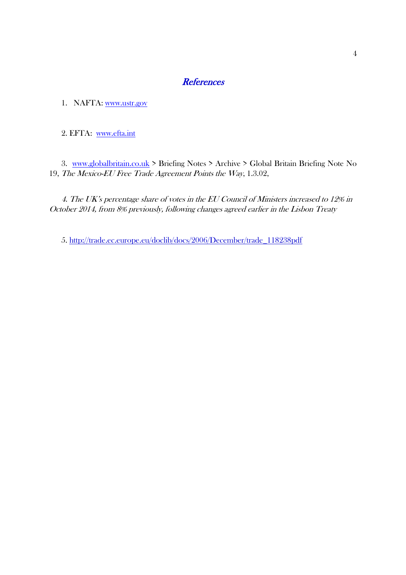#### **References**

1. NAFTA: [www.ustr.gov](http://www.ustr.gov/)

2. EFTA: [www.efta.int](http://www.efta.int/)

3. [www.globalbritain.co.uk](http://www.globalbritain.co.uk/) > Briefing Notes > Archive > Global Britain Briefing Note No 19, The Mexico-EU Free Trade Agreement Points the Way, 1.3.02,

4. The UK's percentage share of votes in the EU Council of Ministers increased to 12% in October 2014, from 8% previously, following changes agreed earlier in the Lisbon Treaty

5. [http://trade.ec.europe.eu/doclib/docs/2006/December/trade\\_118238pdf](http://trade.ec.europe.eu/doclib/docs/2006/December/trade_118238pdf)